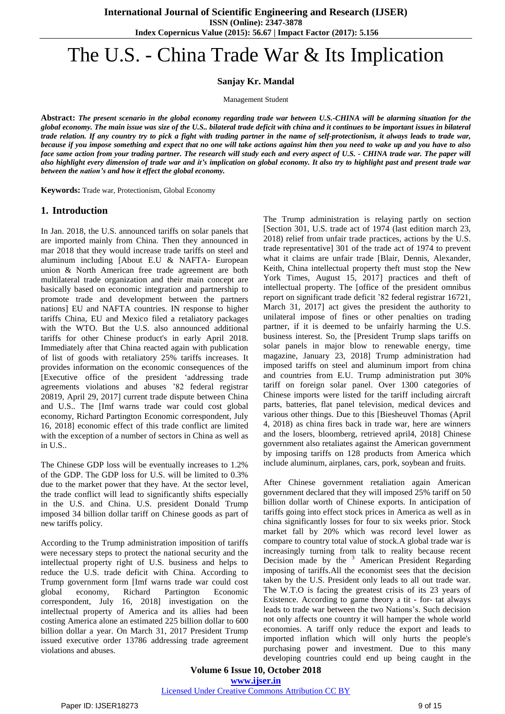# The U.S. - China Trade War & Its Implication

**Sanjay Kr. Mandal**

Management Student

Abstract: The present scenario in the global economy regarding trade war between U.S.-CHINA will be alarming situation for the global economy. The main issue was size of the U.S., bilateral trade deficit with china and it continues to be important issues in bilateral trade relation. If any country try to pick a fight with trading partner in the name of self-protectionism, it always leads to trade war, because if you impose something and expect that no one will take actions against him then you need to wake up and you have to also face same action from your trading partner. The research will study each and every aspect of U.S. - CHINA trade war. The paper will also highlight every dimension of trade war and it's implication on global economy. It also try to highlight past and present trade war *between the nation's and how it effect the global economy.*

**Keywords:** Trade war, Protectionism, Global Economy

### **1. Introduction**

In Jan. 2018, the U.S. announced tariffs on solar panels that are imported mainly from China. Then they announced in mar 2018 that they would increase trade tariffs on steel and aluminum including [About E.U & NAFTA- European union & North American free trade agreement are both multilateral trade organization and their main concept are basically based on economic integration and partnership to promote trade and development between the partners nations] EU and NAFTA countries. IN response to higher tariffs China, EU and Mexico filed a retaliatory packages with the WTO. But the U.S. also announced additional tariffs for other Chinese product's in early April 2018. Immediately after that China reacted again with publication of list of goods with retaliatory 25% tariffs increases. It provides information on the economic consequences of the [Executive office of the president 'addressing trade agreements violations and abuses '82 federal registrar 20819, April 29, 2017] current trade dispute between China and U.S.. The [Imf warns trade war could cost global economy, Richard Partington Economic correspondent, July 16, 2018] economic effect of this trade conflict are limited with the exception of a number of sectors in China as well as in U.S..

The Chinese GDP loss will be eventually increases to 1.2% of the GDP. The GDP loss for U.S. will be limited to 0.3% due to the market power that they have. At the sector level, the trade conflict will lead to significantly shifts especially in the U.S. and China. U.S. president Donald Trump imposed 34 billion dollar tariff on Chinese goods as part of new tariffs policy.

According to the Trump administration imposition of tariffs were necessary steps to protect the national security and the intellectual property right of U.S. business and helps to reduce the U.S. trade deficit with China. According to Trump government form [Imf warns trade war could cost global economy, Richard Partington Economic correspondent, July 16, 2018] investigation on the intellectual property of America and its allies had been costing America alone an estimated 225 billion dollar to 600 billion dollar a year. On March 31, 2017 President Trump issued executive order 13786 addressing trade agreement violations and abuses.

The Trump administration is relaying partly on section [Section 301, U.S. trade act of 1974 (last edition march 23, 2018) relief from unfair trade practices, actions by the U.S. trade representative] 301 of the trade act of 1974 to prevent what it claims are unfair trade [Blair, Dennis, Alexander, Keith, China intellectual property theft must stop the New York Times, August 15, 2017] practices and theft of intellectual property. The [office of the president omnibus report on significant trade deficit '82 federal registrar 16721, March 31, 2017] act gives the president the authority to unilateral impose of fines or other penalties on trading partner, if it is deemed to be unfairly harming the U.S. business interest. So, the [President Trump slaps tariffs on solar panels in major blow to renewable energy, time magazine, January 23, 2018] Trump administration had imposed tariffs on steel and aluminum import from china and countries from E.U. Trump administration put 30% tariff on foreign solar panel. Over 1300 categories of Chinese imports were listed for the tariff including aircraft parts, batteries, flat panel television, medical devices and various other things. Due to this [Biesheuvel Thomas (April 4, 2018) as china fires back in trade war, here are winners and the losers, bloomberg, retrieved april4, 2018] Chinese government also retaliates against the American government by imposing tariffs on 128 products from America which include aluminum, airplanes, cars, pork, soybean and fruits.

After Chinese government retaliation again American government declared that they will imposed 25% tariff on 50 billion dollar worth of Chinese exports. In anticipation of tariffs going into effect stock prices in America as well as in china significantly losses for four to six weeks prior. Stock market fall by 20% which was record level lower as compare to country total value of stock.A global trade war is increasingly turning from talk to reality because recent Decision made by the  $3$  American President Regarding imposing of tariffs.All the economist sees that the decision taken by the U.S. President only leads to all out trade war. The W.T.O is facing the greatest crisis of its 23 years of Existence. According to game theory a tit - for- tat always leads to trade war between the two Nations's. Such decision not only affects one country it will hamper the whole world economies. A tariff only reduce the export and leads to imported inflation which will only hurts the people's purchasing power and investment. Due to this many developing countries could end up being caught in the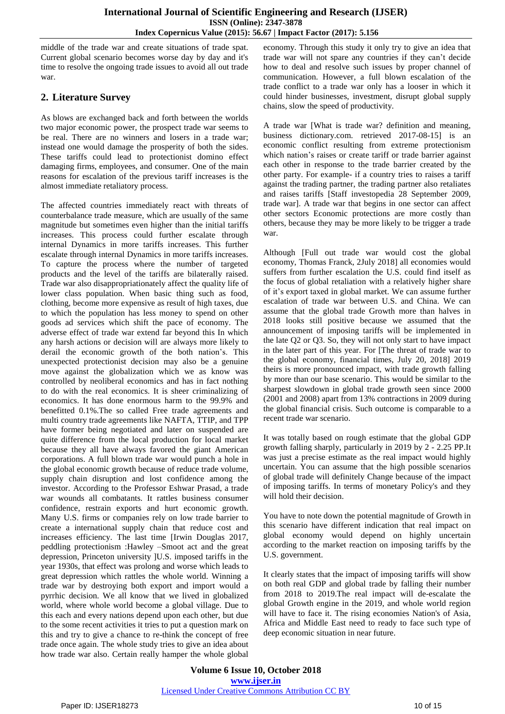middle of the trade war and create situations of trade spat. Current global scenario becomes worse day by day and it's time to resolve the ongoing trade issues to avoid all out trade war.

## **2. Literature Survey**

As blows are exchanged back and forth between the worlds two major economic power, the prospect trade war seems to be real. There are no winners and losers in a trade war; instead one would damage the prosperity of both the sides. These tariffs could lead to protectionist domino effect damaging firms, employees, and consumer. One of the main reasons for escalation of the previous tariff increases is the almost immediate retaliatory process.

The affected countries immediately react with threats of counterbalance trade measure, which are usually of the same magnitude but sometimes even higher than the initial tariffs increases. This process could further escalate through internal Dynamics in more tariffs increases. This further escalate through internal Dynamics in more tariffs increases. To capture the process where the number of targeted products and the level of the tariffs are bilaterally raised. Trade war also disappropriationately affect the quality life of lower class population. When basic thing such as food, clothing, become more expensive as result of high taxes, due to which the population has less money to spend on other goods ad services which shift the pace of economy. The adverse effect of trade war extend far beyond this In which any harsh actions or decision will are always more likely to derail the economic growth of the both nation's. This unexpected protectionist decision may also be a genuine move against the globalization which we as know was controlled by neoliberal economics and has in fact nothing to do with the real economics. It is sheer criminalizing of economics. It has done enormous harm to the 99.9% and benefitted 0.1%.The so called Free trade agreements and multi country trade agreements like NAFTA, TTIP, and TPP have former being negotiated and later on suspended are quite difference from the local production for local market because they all have always favored the giant American corporations. A full blown trade war would punch a hole in the global economic growth because of reduce trade volume, supply chain disruption and lost confidence among the investor. According to the Professor Eshwar Prasad, a trade war wounds all combatants. It rattles business consumer confidence, restrain exports and hurt economic growth. Many U.S. firms or companies rely on low trade barrier to create a international supply chain that reduce cost and increases efficiency. The last time [Irwin Douglas 2017, peddling protectionism :Hawley –Smoot act and the great depression, Princeton university ]U.S. imposed tariffs in the year 1930s, that effect was prolong and worse which leads to great depression which rattles the whole world. Winning a trade war by destroying both export and import would a pyrrhic decision. We all know that we lived in globalized world, where whole world become a global village. Due to this each and every nations depend upon each other, but due to the some recent activities it tries to put a question mark on this and try to give a chance to re-think the concept of free trade once again. The whole study tries to give an idea about how trade war also. Certain really hamper the whole global economy. Through this study it only try to give an idea that trade war will not spare any countries if they can't decide how to deal and resolve such issues by proper channel of communication. However, a full blown escalation of the trade conflict to a trade war only has a looser in which it could hinder businesses, investment, disrupt global supply chains, slow the speed of productivity.

A trade war [What is trade war? definition and meaning, business dictionary.com. retrieved 2017-08-15] is an economic conflict resulting from extreme protectionism which nation's raises or create tariff or trade barrier against each other in response to the trade barrier created by the other party. For example- if a country tries to raises a tariff against the trading partner, the trading partner also retaliates and raises tariffs [Staff investopedia 28 September 2009, trade war]. A trade war that begins in one sector can affect other sectors Economic protections are more costly than others, because they may be more likely to be trigger a trade war.

Although [Full out trade war would cost the global economy, Thomas Franck, 2July 2018] all economies would suffers from further escalation the U.S. could find itself as the focus of global retaliation with a relatively higher share of it's export taxed in global market. We can assume further escalation of trade war between U.S. and China. We can assume that the global trade Growth more than halves in 2018 looks still positive because we assumed that the announcement of imposing tariffs will be implemented in the late Q2 or Q3. So, they will not only start to have impact in the later part of this year. For [The threat of trade war to the global economy, financial times, July 20, 2018] 2019 theirs is more pronounced impact, with trade growth falling by more than our base scenario. This would be similar to the sharpest slowdown in global trade growth seen since 2000 (2001 and 2008) apart from 13% contractions in 2009 during the global financial crisis. Such outcome is comparable to a recent trade war scenario.

It was totally based on rough estimate that the global GDP growth falling sharply, particularly in 2019 by 2 - 2.25 PP.It was just a precise estimate as the real impact would highly uncertain. You can assume that the high possible scenarios of global trade will definitely Change because of the impact of imposing tariffs. In terms of monetary Policy's and they will hold their decision.

You have to note down the potential magnitude of Growth in this scenario have different indication that real impact on global economy would depend on highly uncertain according to the market reaction on imposing tariffs by the U.S. government.

It clearly states that the impact of imposing tariffs will show on both real GDP and global trade by falling their number from 2018 to 2019.The real impact will de-escalate the global Growth engine in the 2019, and whole world region will have to face it. The rising economies Nation's of Asia, Africa and Middle East need to ready to face such type of deep economic situation in near future.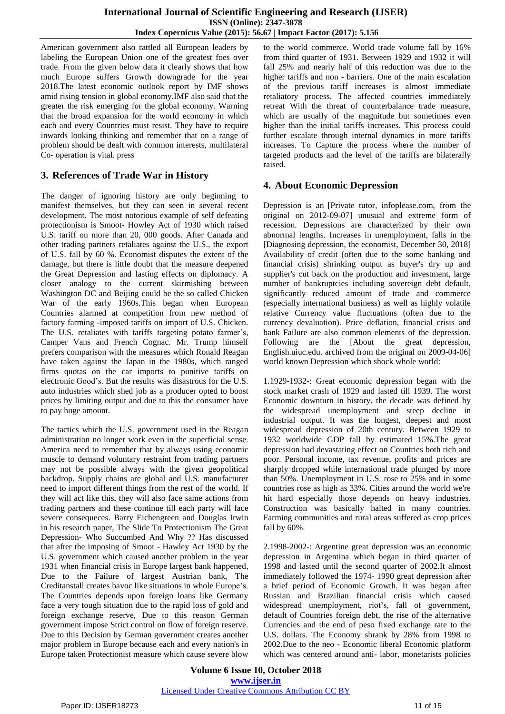American government also rattled all European leaders by labeling the European Union one of the greatest foes over trade. From the given below data it clearly shows that how much Europe suffers Growth downgrade for the year 2018.The latest economic outlook report by IMF shows amid rising tension in global economy.IMF also said that the greater the risk emerging for the global economy. Warning that the broad expansion for the world economy in which each and every Countries must resist. They have to require inwards looking thinking and remember that on a range of problem should be dealt with common interests, multilateral Co- operation is vital. press

## **3. References of Trade War in History**

The danger of ignoring history are only beginning to manifest themselves, but they can seen in several recent development. The most notorious example of self defeating protectionism is Smoot- Howley Act of 1930 which raised U.S. tariff on more than 20, 000 goods. After Canada and other trading partners retaliates against the U.S., the export of U.S. fall by 60 %. Economist disputes the extent of the damage, but there is little doubt that the measure deepened the Great Depression and lasting effects on diplomacy. A closer analogy to the current skirmishing between Washington DC and Beijing could be the so called Chicken War of the early 1960s.This began when European Countries alarmed at competition from new method of factory farming -imposed tariffs on import of U.S. Chicken. The U.S. retaliates with tariffs targeting potato farmer's, Camper Vans and French Cognac. Mr. Trump himself prefers comparison with the measures which Ronald Reagan have taken against the Japan in the 1980s, which ranged firms quotas on the car imports to punitive tariffs on electronic Good's. But the results was disastrous for the U.S. auto industries which shed job as a producer opted to boost prices by limiting output and due to this the consumer have to pay huge amount.

The tactics which the U.S. government used in the Reagan administration no longer work even in the superficial sense. America need to remember that by always using economic muscle to demand voluntary restraint from trading partners may not be possible always with the given geopolitical backdrop. Supply chains are global and U.S. manufacturer need to import different things from the rest of the world. If they will act like this, they will also face same actions from trading partners and these continue till each party will face severe consequeces. Barry Eichengreen and Douglas Irwin in his research paper, The Slide To Protectionism The Great Depression- Who Succumbed And Why ?? Has discussed that after the imposing of Smoot - Hawley Act 1930 by the U.S. government which caused another problem in the year 1931 when financial crisis in Europe largest bank happened, Due to the Failure of largest Austrian bank, The Creditanstall creates havoc like situations in whole Europe's. The Countries depends upon foreign loans like Germany face a very tough situation due to the rapid loss of gold and foreign exchange reserve, Due to this reason German government impose Strict control on flow of foreign reserve. Due to this Decision by German government creates another major problem in Europe because each and every nation's in Europe taken Protectionist measure which cause severe blow to the world commerce. World trade volume fall by 16% from third quarter of 1931. Between 1929 and 1932 it will fall 25% and nearly half of this reduction was due to the higher tariffs and non - barriers. One of the main escalation of the previous tariff increases is almost immediate retaliatory process. The affected countries immediately retreat With the threat of counterbalance trade measure, which are usually of the magnitude but sometimes even higher than the initial tariffs increases. This process could further escalate through internal dynamics in more tariffs increases. To Capture the process where the number of targeted products and the level of the tariffs are bilaterally raised.

## **4. About Economic Depression**

Depression is an [Private tutor, infoplease.com, from the original on 2012-09-07] unusual and extreme form of recession. Depressions are characterized by their own abnormal lengths. Increases in unemployment, falls in the [Diagnosing depression, the economist, December 30, 2018] Availability of credit (often due to the some banking and financial crisis) shrinking output as buyer's dry up and supplier's cut back on the production and investment, large number of bankruptcies including sovereign debt default, significantly reduced amount of trade and commerce (especially international business) as well as highly volatile relative Currency value fluctuations (often due to the currency devaluation). Price deflation, financial crisis and bank Failure are also common elements of the depression. Following are the [About the great depression, English.uiuc.edu. archived from the original on 2009-04-06] world known Depression which shock whole world:

1.1929-1932-: Great economic depression began with the stock market crash of 1929 and lasted till 1939. The worst Economic downturn in history, the decade was defined by the widespread unemployment and steep decline in industrial output. It was the longest, deepest and most widespread depression of 20th century. Between 1929 to 1932 worldwide GDP fall by estimated 15%.The great depression had devastating effect on Countries both rich and poor. Personal income, tax revenue, profits and prices are sharply dropped while international trade plunged by more than 50%. Unemployment in U.S. rose to 25% and in some countries rose as high as 33%. Cities around the world we're hit hard especially those depends on heavy industries. Construction was basically halted in many countries. Farming communities and rural areas suffered as crop prices fall by 60%.

2.1998-2002-: Argentine great depression was an economic depression in Argentina which began in third quarter of 1998 and lasted until the second quarter of 2002.It almost immediately followed the 1974- 1990 great depression after a brief period of Economic Growth. It was began after Russian and Brazilian financial crisis which caused widespread unemployment, riot's, fall of government, default of Countries foreign debt, the rise of the alternative Currencies and the end of peso fixed exchange rate to the U.S. dollars. The Economy shrank by 28% from 1998 to 2002.Due to the neo - Economic liberal Economic platform which was centered around anti- labor, monetarists policies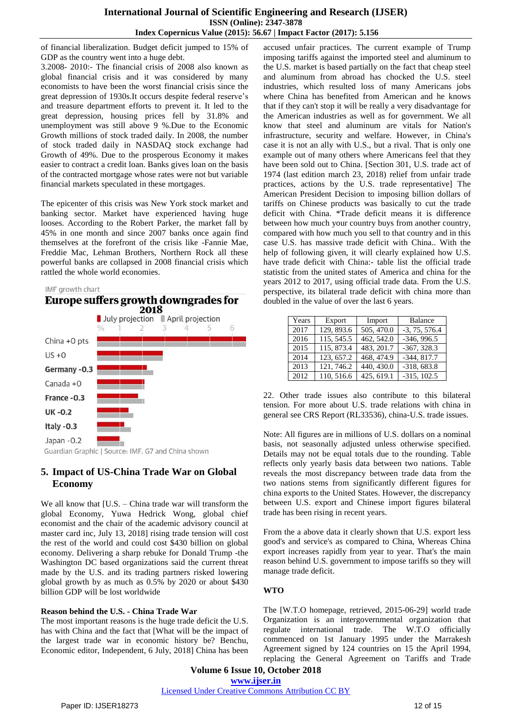of financial liberalization. Budget deficit jumped to 15% of GDP as the country went into a huge debt.

3.2008- 2010:- The financial crisis of 2008 also known as global financial crisis and it was considered by many economists to have been the worst financial crisis since the great depression of 1930s.It occurs despite federal reserve's and treasure department efforts to prevent it. It led to the great depression, housing prices fell by 31.8% and unemployment was still above 9 %.Due to the Economic Growth millions of stock traded daily. In 2008, the number of stock traded daily in NASDAQ stock exchange had Growth of 49%. Due to the prosperous Economy it makes easier to contract a credit loan. Banks gives loan on the basis of the contracted mortgage whose rates were not but variable financial markets speculated in these mortgages.

The epicenter of this crisis was New York stock market and banking sector. Market have experienced having huge looses. According to the Robert Parker, the market fall by 45% in one month and since 2007 banks once again find themselves at the forefront of the crisis like -Fannie Mae, Freddie Mac, Lehman Brothers, Northern Rock all these powerful banks are collapsed in 2008 financial crisis which rattled the whole world economies.

#### IMF growth chart



Guardian Graphic | Source: IMF. G7 and China shown

## **5. Impact of US-China Trade War on Global Economy**

We all know that [U.S. – China trade war will transform the global Economy, Yuwa Hedrick Wong, global chief economist and the chair of the academic advisory council at master card inc, July 13, 2018] rising trade tension will cost the rest of the world and could cost \$430 billion on global economy. Delivering a sharp rebuke for Donald Trump -the Washington DC based organizations said the current threat made by the U.S. and its trading partners risked lowering global growth by as much as 0.5% by 2020 or about \$430 billion GDP will be lost worldwide

### **Reason behind the U.S. - China Trade War**

The most important reasons is the huge trade deficit the U.S. has with China and the fact that [What will be the impact of the largest trade war in economic history be? Benchu, Economic editor, Independent, 6 July, 2018] China has been accused unfair practices. The current example of Trump imposing tariffs against the imported steel and aluminum to the U.S. market is based partially on the fact that cheap steel and aluminum from abroad has chocked the U.S. steel industries, which resulted loss of many Americans jobs where China has benefited from American and he knows that if they can't stop it will be really a very disadvantage for the American industries as well as for government. We all know that steel and aluminum are vitals for Nation's infrastructure, security and welfare. However, in China's case it is not an ally with U.S., but a rival. That is only one example out of many others where Americans feel that they have been sold out to China. [Section 301, U.S. trade act of 1974 (last edition march 23, 2018) relief from unfair trade practices, actions by the U.S. trade representative] The American President Decision to imposing billion dollars of tariffs on Chinese products was basically to cut the trade deficit with China. \*Trade deficit means it is difference between how much your country buys from another country, compared with how much you sell to that country and in this case U.S. has massive trade deficit with China.. With the help of following given, it will clearly explained how U.S. have trade deficit with China:- table list the official trade statistic from the united states of America and china for the years 2012 to 2017, using official trade data. From the U.S. perspective, its bilateral trade deficit with china more than doubled in the value of over the last 6 years.

| Years | Export     | Import     | <b>Balance</b>  |
|-------|------------|------------|-----------------|
| 2017  | 129, 893.6 | 505, 470.0 | $-3, 75, 576.4$ |
| 2016  | 115, 545.5 | 462, 542.0 | $-346, 996.5$   |
| 2015  | 115, 873.4 | 483, 201.7 | $-367, 328.3$   |
| 2014  | 123, 657.2 | 468, 474.9 | $-344, 817.7$   |
| 2013  | 121, 746.2 | 440, 430.0 | $-318,683.8$    |
| 2012  | 110, 516.6 | 425, 619.1 | $-315, 102.5$   |

22. Other trade issues also contribute to this bilateral tension. For more about U.S. trade relations with china in general see CRS Report (RL33536), china-U.S. trade issues.

Note: All figures are in millions of U.S. dollars on a nominal basis, not seasonally adjusted unless otherwise specified. Details may not be equal totals due to the rounding. Table reflects only yearly basis data between two nations. Table reveals the most discrepancy between trade data from the two nations stems from significantly different figures for china exports to the United States. However, the discrepancy between U.S. export and Chinese import figures bilateral trade has been rising in recent years.

From the a above data it clearly shown that U.S. export less good's and service's as compared to China, Whereas China export increases rapidly from year to year. That's the main reason behind U.S. government to impose tariffs so they will manage trade deficit.

### **WTO**

The [W.T.O homepage, retrieved, 2015-06-29] world trade Organization is an intergovernmental organization that regulate international trade. The W.T.O officially commenced on 1st January 1995 under the Marrakesh Agreement signed by 124 countries on 15 the April 1994, replacing the General Agreement on Tariffs and Trade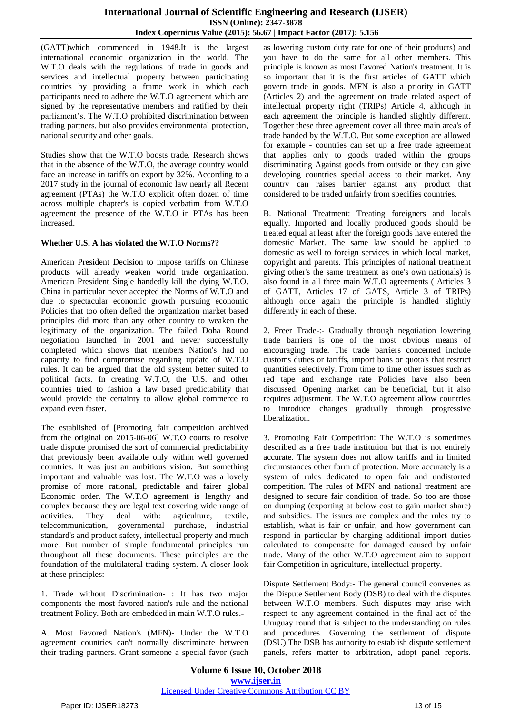(GATT)which commenced in 1948.It is the largest international economic organization in the world. The W.T.O deals with the regulations of trade in goods and services and intellectual property between participating countries by providing a frame work in which each participants need to adhere the W.T.O agreement which are signed by the representative members and ratified by their parliament's. The W.T.O prohibited discrimination between trading partners, but also provides environmental protection, national security and other goals.

Studies show that the W.T.O boosts trade. Research shows that in the absence of the W.T.O, the average country would face an increase in tariffs on export by 32%. According to a 2017 study in the journal of economic law nearly all Recent agreement (PTAs) the W.T.O explicit often dozen of time across multiple chapter's is copied verbatim from W.T.O agreement the presence of the W.T.O in PTAs has been increased.

#### **Whether U.S. A has violated the W.T.O Norms??**

American President Decision to impose tariffs on Chinese products will already weaken world trade organization. American President Single handedly kill the dying W.T.O. China in particular never accepted the Norms of W.T.O and due to spectacular economic growth pursuing economic Policies that too often defied the organization market based principles did more than any other country to weaken the legitimacy of the organization. The failed Doha Round negotiation launched in 2001 and never successfully completed which shows that members Nation's had no capacity to find compromise regarding update of W.T.O rules. It can be argued that the old system better suited to political facts. In creating W.T.O, the U.S. and other countries tried to fashion a law based predictability that would provide the certainty to allow global commerce to expand even faster.

The established of [Promoting fair competition archived from the original on 2015-06-06] W.T.O courts to resolve trade dispute promised the sort of commercial predictability that previously been available only within well governed countries. It was just an ambitious vision. But something important and valuable was lost. The W.T.O was a lovely promise of more rational, predictable and fairer global Economic order. The W.T.O agreement is lengthy and complex because they are legal text covering wide range of activities. They deal with: agriculture, textile, telecommunication, governmental purchase, industrial standard's and product safety, intellectual property and much more. But number of simple fundamental principles run throughout all these documents. These principles are the foundation of the multilateral trading system. A closer look at these principles:-

1. Trade without Discrimination- : It has two major components the most favored nation's rule and the national treatment Policy. Both are embedded in main W.T.O rules.-

A. Most Favored Nation's (MFN)- Under the W.T.O agreement countries can't normally discriminate between their trading partners. Grant someone a special favor (such as lowering custom duty rate for one of their products) and you have to do the same for all other members. This principle is known as most Favored Nation's treatment. It is so important that it is the first articles of GATT which govern trade in goods. MFN is also a priority in GATT (Articles 2) and the agreement on trade related aspect of intellectual property right (TRIPs) Article 4, although in each agreement the principle is handled slightly different. Together these three agreement cover all three main area's of trade handed by the W.T.O. But some exception are allowed for example - countries can set up a free trade agreement that applies only to goods traded within the groups discriminating Against goods from outside or they can give developing countries special access to their market. Any country can raises barrier against any product that considered to be traded unfairly from specifies countries.

B. National Treatment: Treating foreigners and locals equally. Imported and locally produced goods should be treated equal at least after the foreign goods have entered the domestic Market. The same law should be applied to domestic as well to foreign services in which local market, copyright and parents. This principles of national treatment giving other's the same treatment as one's own nationals) is also found in all three main W.T.O agreements ( Articles 3 of GATT, Articles 17 of GATS, Article 3 of TRIPs) although once again the principle is handled slightly differently in each of these.

2. Freer Trade-:- Gradually through negotiation lowering trade barriers is one of the most obvious means of encouraging trade. The trade barriers concerned include customs duties or tariffs, import bans or quota's that restrict quantities selectively. From time to time other issues such as red tape and exchange rate Policies have also been discussed. Opening market can be beneficial, but it also requires adjustment. The W.T.O agreement allow countries to introduce changes gradually through progressive liberalization.

3. Promoting Fair Competition: The W.T.O is sometimes described as a free trade institution but that is not entirely accurate. The system does not allow tariffs and in limited circumstances other form of protection. More accurately is a system of rules dedicated to open fair and undistorted competition. The rules of MFN and national treatment are designed to secure fair condition of trade. So too are those on dumping (exporting at below cost to gain market share) and subsidies. The issues are complex and the rules try to establish, what is fair or unfair, and how government can respond in particular by charging additional import duties calculated to compensate for damaged caused by unfair trade. Many of the other W.T.O agreement aim to support fair Competition in agriculture, intellectual property.

Dispute Settlement Body:- The general council convenes as the Dispute Settlement Body (DSB) to deal with the disputes between W.T.O members. Such disputes may arise with respect to any agreement contained in the final act of the Uruguay round that is subject to the understanding on rules and procedures. Governing the settlement of dispute (DSU).The DSB has authority to establish dispute settlement panels, refers matter to arbitration, adopt panel reports.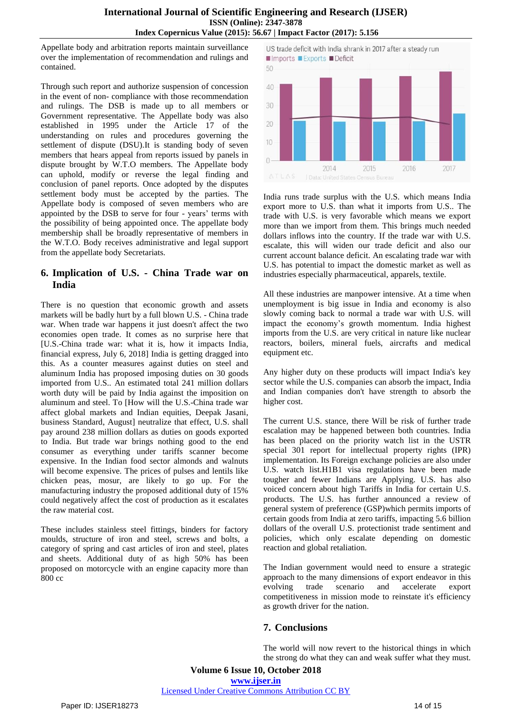Appellate body and arbitration reports maintain surveillance over the implementation of recommendation and rulings and contained.

Through such report and authorize suspension of concession in the event of non- compliance with those recommendation and rulings. The DSB is made up to all members or Government representative. The Appellate body was also established in 1995 under the Article 17 of the understanding on rules and procedures governing the settlement of dispute (DSU).It is standing body of seven members that hears appeal from reports issued by panels in dispute brought by W.T.O members. The Appellate body can uphold, modify or reverse the legal finding and conclusion of panel reports. Once adopted by the disputes settlement body must be accepted by the parties. The Appellate body is composed of seven members who are appointed by the DSB to serve for four - years' terms with the possibility of being appointed once. The appellate body membership shall be broadly representative of members in the W.T.O. Body receives administrative and legal support from the appellate body Secretariats.

## **6. Implication of U.S. - China Trade war on India**

There is no question that economic growth and assets markets will be badly hurt by a full blown U.S. - China trade war. When trade war happens it just doesn't affect the two economies open trade. It comes as no surprise here that [U.S.-China trade war: what it is, how it impacts India, financial express, July 6, 2018] India is getting dragged into this. As a counter measures against duties on steel and aluminum India has proposed imposing duties on 30 goods imported from U.S.. An estimated total 241 million dollars worth duty will be paid by India against the imposition on aluminum and steel. To [How will the U.S.-China trade war affect global markets and Indian equities, Deepak Jasani, business Standard, August] neutralize that effect, U.S. shall pay around 238 million dollars as duties on goods exported to India. But trade war brings nothing good to the end consumer as everything under tariffs scanner become expensive. In the Indian food sector almonds and walnuts will become expensive. The prices of pulses and lentils like chicken peas, mosur, are likely to go up. For the manufacturing industry the proposed additional duty of 15% could negatively affect the cost of production as it escalates the raw material cost.

These includes stainless steel fittings, binders for factory moulds, structure of iron and steel, screws and bolts, a category of spring and cast articles of iron and steel, plates and sheets. Additional duty of as high 50% has been proposed on motorcycle with an engine capacity more than 800 cc



India runs trade surplus with the U.S. which means India export more to U.S. than what it imports from U.S.. The trade with U.S. is very favorable which means we export more than we import from them. This brings much needed dollars inflows into the country. If the trade war with U.S. escalate, this will widen our trade deficit and also our current account balance deficit. An escalating trade war with U.S. has potential to impact the domestic market as well as industries especially pharmaceutical, apparels, textile.

All these industries are manpower intensive. At a time when unemployment is big issue in India and economy is also slowly coming back to normal a trade war with U.S. will impact the economy's growth momentum. India highest imports from the U.S. are very critical in nature like nuclear reactors, boilers, mineral fuels, aircrafts and medical equipment etc.

Any higher duty on these products will impact India's key sector while the U.S. companies can absorb the impact, India and Indian companies don't have strength to absorb the higher cost.

The current U.S. stance, there Will be risk of further trade escalation may be happened between both countries. India has been placed on the priority watch list in the USTR special 301 report for intellectual property rights (IPR) implementation. Its Foreign exchange policies are also under U.S. watch list.H1B1 visa regulations have been made tougher and fewer Indians are Applying. U.S. has also voiced concern about high Tariffs in India for certain U.S. products. The U.S. has further announced a review of general system of preference (GSP)which permits imports of certain goods from India at zero tariffs, impacting 5.6 billion dollars of the overall U.S. protectionist trade sentiment and policies, which only escalate depending on domestic reaction and global retaliation.

The Indian government would need to ensure a strategic approach to the many dimensions of export endeavor in this evolving trade scenario and accelerate export competitiveness in mission mode to reinstate it's efficiency as growth driver for the nation.

## **7. Conclusions**

The world will now revert to the historical things in which the strong do what they can and weak suffer what they must.